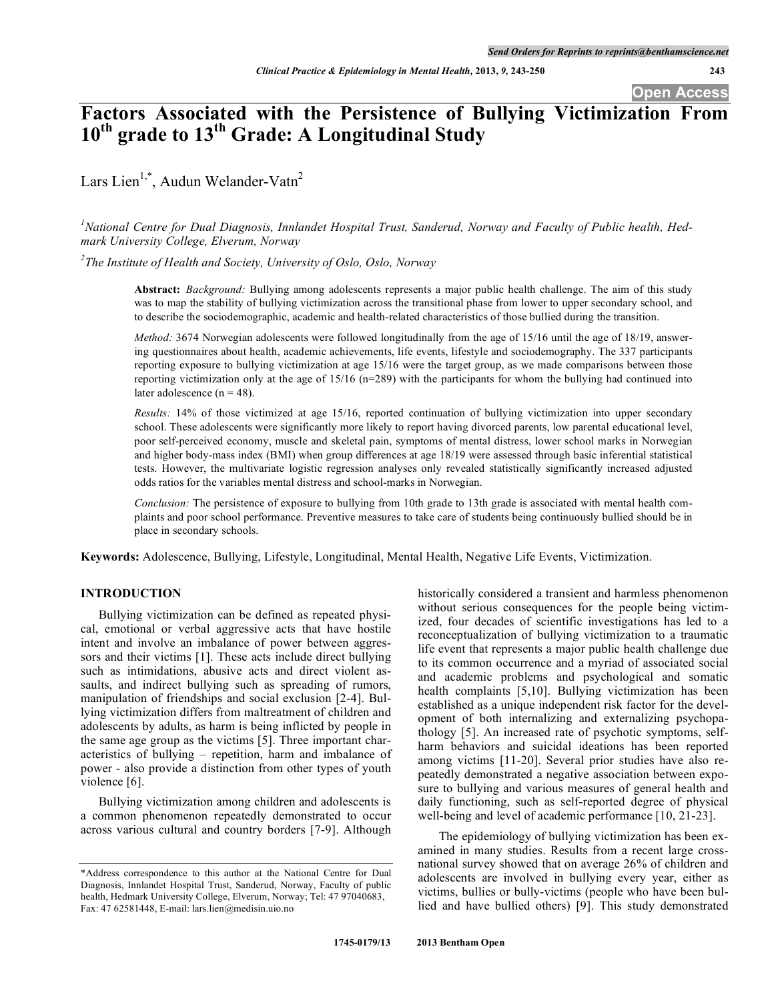**Open Access**

# **Factors Associated with the Persistence of Bullying Victimization From 10th grade to 13th Grade: A Longitudinal Study**

Lars Lien<sup>1,\*</sup>, Audun Welander-Vatn<sup>2</sup>

 ${}^{1}$ National Centre for Dual Diagnosis, Innlandet Hospital Trust, Sanderud, Norway and Faculty of Public health, Hed*mark University College, Elverum, Norway*

*2 The Institute of Health and Society, University of Oslo, Oslo, Norway*

**Abstract:** *Background:* Bullying among adolescents represents a major public health challenge. The aim of this study was to map the stability of bullying victimization across the transitional phase from lower to upper secondary school, and to describe the sociodemographic, academic and health-related characteristics of those bullied during the transition.

*Method:* 3674 Norwegian adolescents were followed longitudinally from the age of 15/16 until the age of 18/19, answering questionnaires about health, academic achievements, life events, lifestyle and sociodemography. The 337 participants reporting exposure to bullying victimization at age 15/16 were the target group, as we made comparisons between those reporting victimization only at the age of 15/16 (n=289) with the participants for whom the bullying had continued into later adolescence  $(n = 48)$ .

*Results:* 14% of those victimized at age 15/16, reported continuation of bullying victimization into upper secondary school. These adolescents were significantly more likely to report having divorced parents, low parental educational level, poor self-perceived economy, muscle and skeletal pain, symptoms of mental distress, lower school marks in Norwegian and higher body-mass index (BMI) when group differences at age 18/19 were assessed through basic inferential statistical tests. However, the multivariate logistic regression analyses only revealed statistically significantly increased adjusted odds ratios for the variables mental distress and school-marks in Norwegian.

*Conclusion:* The persistence of exposure to bullying from 10th grade to 13th grade is associated with mental health complaints and poor school performance. Preventive measures to take care of students being continuously bullied should be in place in secondary schools.

**Keywords:** Adolescence, Bullying, Lifestyle, Longitudinal, Mental Health, Negative Life Events, Victimization.

# **INTRODUCTION**

Bullying victimization can be defined as repeated physical, emotional or verbal aggressive acts that have hostile intent and involve an imbalance of power between aggressors and their victims [1]. These acts include direct bullying such as intimidations, abusive acts and direct violent assaults, and indirect bullying such as spreading of rumors, manipulation of friendships and social exclusion [2-4]. Bullying victimization differs from maltreatment of children and adolescents by adults, as harm is being inflicted by people in the same age group as the victims [5]. Three important characteristics of bullying – repetition, harm and imbalance of power - also provide a distinction from other types of youth violence [6].

Bullying victimization among children and adolescents is a common phenomenon repeatedly demonstrated to occur across various cultural and country borders [7-9]. Although

historically considered a transient and harmless phenomenon without serious consequences for the people being victimized, four decades of scientific investigations has led to a reconceptualization of bullying victimization to a traumatic life event that represents a major public health challenge due to its common occurrence and a myriad of associated social and academic problems and psychological and somatic health complaints [5,10]. Bullying victimization has been established as a unique independent risk factor for the development of both internalizing and externalizing psychopathology [5]. An increased rate of psychotic symptoms, selfharm behaviors and suicidal ideations has been reported among victims [11-20]. Several prior studies have also repeatedly demonstrated a negative association between exposure to bullying and various measures of general health and daily functioning, such as self-reported degree of physical well-being and level of academic performance [10, 21-23].

The epidemiology of bullying victimization has been examined in many studies. Results from a recent large crossnational survey showed that on average 26% of children and adolescents are involved in bullying every year, either as victims, bullies or bully-victims (people who have been bullied and have bullied others) [9]. This study demonstrated

<sup>\*</sup>Address correspondence to this author at the National Centre for Dual Diagnosis, Innlandet Hospital Trust, Sanderud, Norway, Faculty of public health, Hedmark University College, Elverum, Norway; Tel: 47 97040683, Fax: 47 62581448, E-mail: lars.lien@medisin.uio.no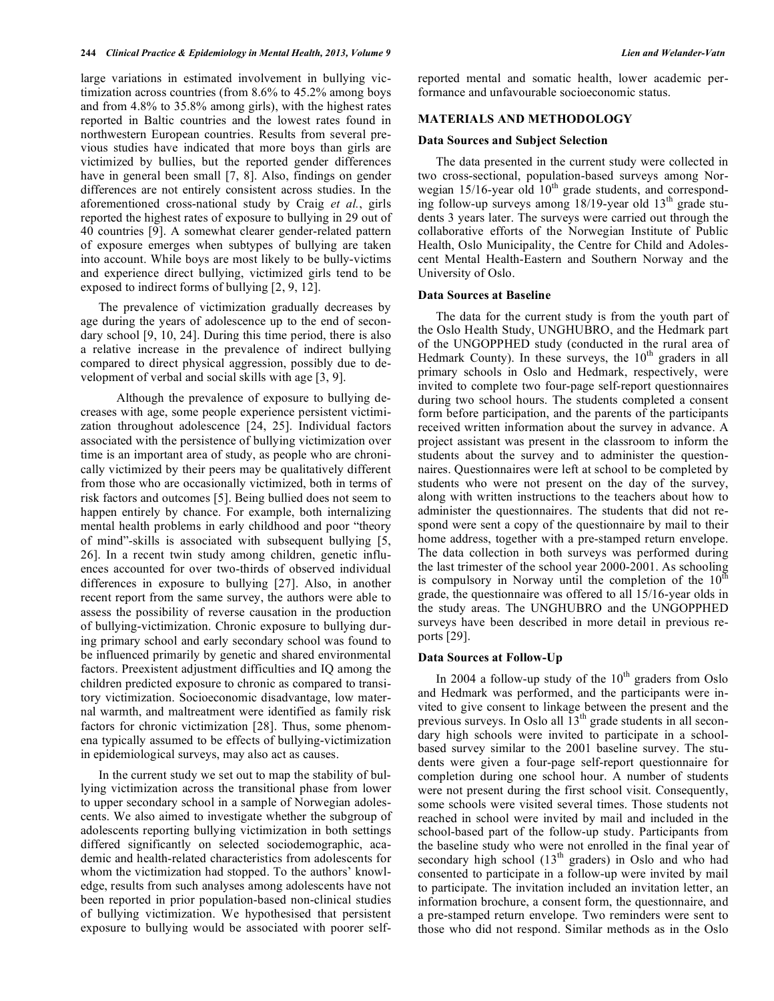large variations in estimated involvement in bullying victimization across countries (from 8.6% to 45.2% among boys and from 4.8% to 35.8% among girls), with the highest rates reported in Baltic countries and the lowest rates found in northwestern European countries. Results from several previous studies have indicated that more boys than girls are victimized by bullies, but the reported gender differences have in general been small [7, 8]. Also, findings on gender differences are not entirely consistent across studies. In the aforementioned cross-national study by Craig *et al.*, girls reported the highest rates of exposure to bullying in 29 out of 40 countries [9]. A somewhat clearer gender-related pattern of exposure emerges when subtypes of bullying are taken into account. While boys are most likely to be bully-victims and experience direct bullying, victimized girls tend to be exposed to indirect forms of bullying [2, 9, 12].

The prevalence of victimization gradually decreases by age during the years of adolescence up to the end of secondary school [9, 10, 24]. During this time period, there is also a relative increase in the prevalence of indirect bullying compared to direct physical aggression, possibly due to development of verbal and social skills with age [3, 9].

Although the prevalence of exposure to bullying decreases with age, some people experience persistent victimization throughout adolescence [24, 25]. Individual factors associated with the persistence of bullying victimization over time is an important area of study, as people who are chronically victimized by their peers may be qualitatively different from those who are occasionally victimized, both in terms of risk factors and outcomes [5]. Being bullied does not seem to happen entirely by chance. For example, both internalizing mental health problems in early childhood and poor "theory of mind"-skills is associated with subsequent bullying [5, 26]. In a recent twin study among children, genetic influences accounted for over two-thirds of observed individual differences in exposure to bullying [27]. Also, in another recent report from the same survey, the authors were able to assess the possibility of reverse causation in the production of bullying-victimization. Chronic exposure to bullying during primary school and early secondary school was found to be influenced primarily by genetic and shared environmental factors. Preexistent adjustment difficulties and IQ among the children predicted exposure to chronic as compared to transitory victimization. Socioeconomic disadvantage, low maternal warmth, and maltreatment were identified as family risk factors for chronic victimization [28]. Thus, some phenomena typically assumed to be effects of bullying-victimization in epidemiological surveys, may also act as causes.

In the current study we set out to map the stability of bullying victimization across the transitional phase from lower to upper secondary school in a sample of Norwegian adolescents. We also aimed to investigate whether the subgroup of adolescents reporting bullying victimization in both settings differed significantly on selected sociodemographic, academic and health-related characteristics from adolescents for whom the victimization had stopped. To the authors' knowledge, results from such analyses among adolescents have not been reported in prior population-based non-clinical studies of bullying victimization. We hypothesised that persistent exposure to bullying would be associated with poorer selfreported mental and somatic health, lower academic performance and unfavourable socioeconomic status.

## **MATERIALS AND METHODOLOGY**

#### **Data Sources and Subject Selection**

The data presented in the current study were collected in two cross-sectional, population-based surveys among Norwegian  $15/16$ -year old  $10<sup>th</sup>$  grade students, and corresponding follow-up surveys among  $18/19$ -year old  $13<sup>th</sup>$  grade students 3 years later. The surveys were carried out through the collaborative efforts of the Norwegian Institute of Public Health, Oslo Municipality, the Centre for Child and Adolescent Mental Health-Eastern and Southern Norway and the University of Oslo.

## **Data Sources at Baseline**

The data for the current study is from the youth part of the Oslo Health Study, UNGHUBRO, and the Hedmark part of the UNGOPPHED study (conducted in the rural area of Hedmark County). In these surveys, the  $10<sup>th</sup>$  graders in all primary schools in Oslo and Hedmark, respectively, were invited to complete two four-page self-report questionnaires during two school hours. The students completed a consent form before participation, and the parents of the participants received written information about the survey in advance. A project assistant was present in the classroom to inform the students about the survey and to administer the questionnaires. Questionnaires were left at school to be completed by students who were not present on the day of the survey, along with written instructions to the teachers about how to administer the questionnaires. The students that did not respond were sent a copy of the questionnaire by mail to their home address, together with a pre-stamped return envelope. The data collection in both surveys was performed during the last trimester of the school year 2000-2001. As schooling is compulsory in Norway until the completion of the  $10^{th}$ grade, the questionnaire was offered to all 15/16-year olds in the study areas. The UNGHUBRO and the UNGOPPHED surveys have been described in more detail in previous reports [29].

## **Data Sources at Follow-Up**

In 2004 a follow-up study of the  $10<sup>th</sup>$  graders from Oslo and Hedmark was performed, and the participants were invited to give consent to linkage between the present and the previous surveys. In Oslo all  $13<sup>th</sup>$  grade students in all secondary high schools were invited to participate in a schoolbased survey similar to the 2001 baseline survey. The students were given a four-page self-report questionnaire for completion during one school hour. A number of students were not present during the first school visit. Consequently, some schools were visited several times. Those students not reached in school were invited by mail and included in the school-based part of the follow-up study. Participants from the baseline study who were not enrolled in the final year of secondary high school (13<sup>th</sup> graders) in Oslo and who had consented to participate in a follow-up were invited by mail to participate. The invitation included an invitation letter, an information brochure, a consent form, the questionnaire, and a pre-stamped return envelope. Two reminders were sent to those who did not respond. Similar methods as in the Oslo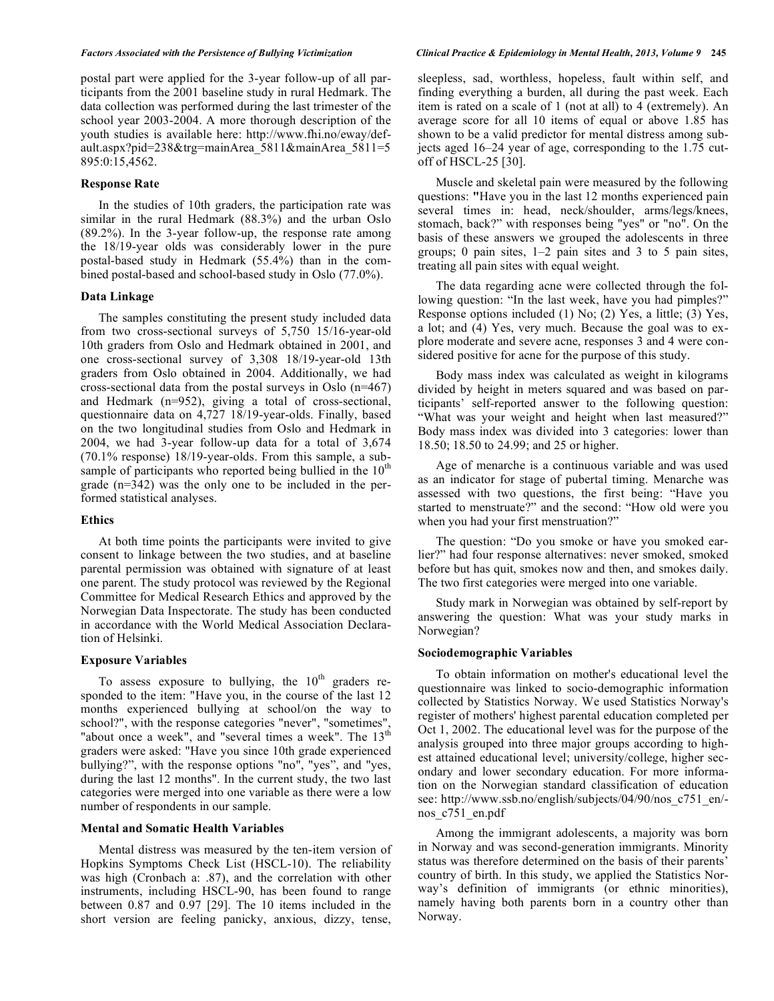postal part were applied for the 3-year follow-up of all participants from the 2001 baseline study in rural Hedmark. The data collection was performed during the last trimester of the school year 2003-2004. A more thorough description of the youth studies is available here: http://www.fhi.no/eway/default.aspx?pid=238&trg=mainArea\_5811&mainArea\_5811=5 895:0:15,4562.

# **Response Rate**

In the studies of 10th graders, the participation rate was similar in the rural Hedmark (88.3%) and the urban Oslo (89.2%). In the 3-year follow-up, the response rate among the 18/19-year olds was considerably lower in the pure postal-based study in Hedmark (55.4%) than in the combined postal-based and school-based study in Oslo (77.0%).

# **Data Linkage**

The samples constituting the present study included data from two cross-sectional surveys of 5,750 15/16-year-old 10th graders from Oslo and Hedmark obtained in 2001, and one cross-sectional survey of 3,308 18/19-year-old 13th graders from Oslo obtained in 2004. Additionally, we had cross-sectional data from the postal surveys in Oslo (n=467) and Hedmark (n=952), giving a total of cross-sectional, questionnaire data on 4,727 18/19-year-olds. Finally, based on the two longitudinal studies from Oslo and Hedmark in 2004, we had 3-year follow-up data for a total of 3,674 (70.1% response) 18/19-year-olds. From this sample, a subsample of participants who reported being bullied in the  $10<sup>th</sup>$ grade (n=342) was the only one to be included in the performed statistical analyses.

# **Ethics**

At both time points the participants were invited to give consent to linkage between the two studies, and at baseline parental permission was obtained with signature of at least one parent. The study protocol was reviewed by the Regional Committee for Medical Research Ethics and approved by the Norwegian Data Inspectorate. The study has been conducted in accordance with the World Medical Association Declaration of Helsinki.

## **Exposure Variables**

To assess exposure to bullying, the  $10<sup>th</sup>$  graders responded to the item: "Have you, in the course of the last 12 months experienced bullying at school/on the way to school?", with the response categories "never", "sometimes", "about once a week", and "several times a week". The  $13<sup>th</sup>$ graders were asked: "Have you since 10th grade experienced bullying?", with the response options "no", "yes", and "yes, during the last 12 months". In the current study, the two last categories were merged into one variable as there were a low number of respondents in our sample.

## **Mental and Somatic Health Variables**

Mental distress was measured by the ten-item version of Hopkins Symptoms Check List (HSCL-10). The reliability was high (Cronbach a: .87), and the correlation with other instruments, including HSCL-90, has been found to range between 0.87 and 0.97 [29]. The 10 items included in the short version are feeling panicky, anxious, dizzy, tense,

sleepless, sad, worthless, hopeless, fault within self, and finding everything a burden, all during the past week. Each item is rated on a scale of 1 (not at all) to 4 (extremely). An average score for all 10 items of equal or above 1.85 has shown to be a valid predictor for mental distress among subjects aged 16–24 year of age, corresponding to the 1.75 cutoff of HSCL-25 [30].

Muscle and skeletal pain were measured by the following questions: **"**Have you in the last 12 months experienced pain several times in: head, neck/shoulder, arms/legs/knees, stomach, back?" with responses being "yes" or "no". On the basis of these answers we grouped the adolescents in three groups; 0 pain sites,  $1-2$  pain sites and 3 to 5 pain sites, treating all pain sites with equal weight.

The data regarding acne were collected through the following question: "In the last week, have you had pimples?" Response options included (1) No; (2) Yes, a little; (3) Yes, a lot; and (4) Yes, very much. Because the goal was to explore moderate and severe acne, responses 3 and 4 were considered positive for acne for the purpose of this study.

Body mass index was calculated as weight in kilograms divided by height in meters squared and was based on participants' self-reported answer to the following question: "What was your weight and height when last measured?" Body mass index was divided into 3 categories: lower than 18.50; 18.50 to 24.99; and 25 or higher.

Age of menarche is a continuous variable and was used as an indicator for stage of pubertal timing. Menarche was assessed with two questions, the first being: "Have you started to menstruate?" and the second: "How old were you when you had your first menstruation?"

The question: "Do you smoke or have you smoked earlier?" had four response alternatives: never smoked, smoked before but has quit, smokes now and then, and smokes daily. The two first categories were merged into one variable.

Study mark in Norwegian was obtained by self-report by answering the question: What was your study marks in Norwegian?

# **Sociodemographic Variables**

To obtain information on mother's educational level the questionnaire was linked to socio-demographic information collected by Statistics Norway. We used Statistics Norway's register of mothers' highest parental education completed per Oct 1, 2002. The educational level was for the purpose of the analysis grouped into three major groups according to highest attained educational level; university/college, higher secondary and lower secondary education. For more information on the Norwegian standard classification of education see: http://www.ssb.no/english/subjects/04/90/nos\_c751\_en/nos\_c751\_en.pdf

Among the immigrant adolescents, a majority was born in Norway and was second-generation immigrants. Minority status was therefore determined on the basis of their parents' country of birth. In this study, we applied the Statistics Norway's definition of immigrants (or ethnic minorities), namely having both parents born in a country other than Norway.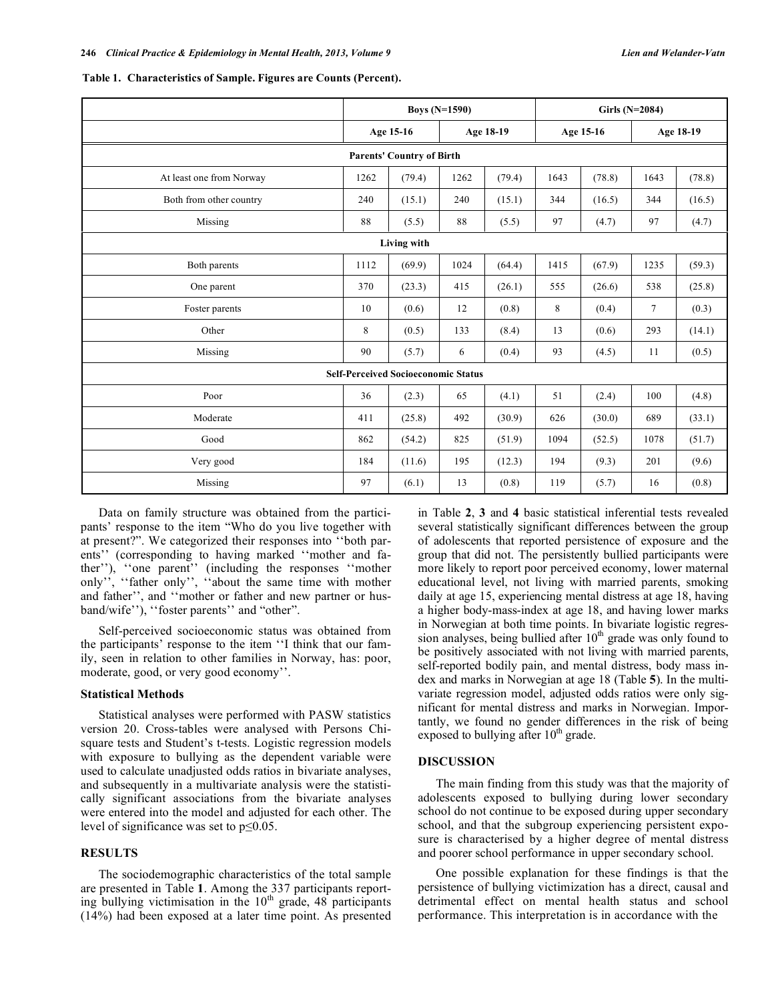|                                  | <b>Boys (N=1590)</b> |                                            |      |           | Girls (N=2084) |                        |        |        |
|----------------------------------|----------------------|--------------------------------------------|------|-----------|----------------|------------------------|--------|--------|
|                                  |                      | Age 15-16                                  |      | Age 18-19 |                | Age 15-16<br>Age 18-19 |        |        |
| <b>Parents' Country of Birth</b> |                      |                                            |      |           |                |                        |        |        |
| At least one from Norway         | 1262                 | (79.4)                                     | 1262 | (79.4)    | 1643           | (78.8)                 | 1643   | (78.8) |
| Both from other country          | 240                  | (15.1)                                     | 240  | (15.1)    | 344            | (16.5)                 | 344    | (16.5) |
| Missing                          | 88                   | (5.5)                                      | 88   | (5.5)     | 97             | (4.7)                  | 97     | (4.7)  |
|                                  |                      | Living with                                |      |           |                |                        |        |        |
| Both parents                     | 1112                 | (69.9)                                     | 1024 | (64.4)    | 1415           | (67.9)                 | 1235   | (59.3) |
| One parent                       | 370                  | (23.3)                                     | 415  | (26.1)    | 555            | (26.6)                 | 538    | (25.8) |
| Foster parents                   | 10                   | (0.6)                                      | 12   | (0.8)     | 8              | (0.4)                  | $\tau$ | (0.3)  |
| Other                            | 8                    | (0.5)                                      | 133  | (8.4)     | 13             | (0.6)                  | 293    | (14.1) |
| Missing                          | 90                   | (5.7)                                      | 6    | (0.4)     | 93             | (4.5)                  | 11     | (0.5)  |
|                                  |                      | <b>Self-Perceived Socioeconomic Status</b> |      |           |                |                        |        |        |
| Poor                             | 36                   | (2.3)                                      | 65   | (4.1)     | 51             | (2.4)                  | 100    | (4.8)  |
| Moderate                         | 411                  | (25.8)                                     | 492  | (30.9)    | 626            | (30.0)                 | 689    | (33.1) |
| Good                             | 862                  | (54.2)                                     | 825  | (51.9)    | 1094           | (52.5)                 | 1078   | (51.7) |
| Very good                        | 184                  | (11.6)                                     | 195  | (12.3)    | 194            | (9.3)                  | 201    | (9.6)  |
| Missing                          | 97                   | (6.1)                                      | 13   | (0.8)     | 119            | (5.7)                  | 16     | (0.8)  |

|  | Table 1. Characteristics of Sample. Figures are Counts (Percent). |  |  |  |  |
|--|-------------------------------------------------------------------|--|--|--|--|
|--|-------------------------------------------------------------------|--|--|--|--|

Data on family structure was obtained from the participants' response to the item "Who do you live together with at present?". We categorized their responses into ''both parents'' (corresponding to having marked ''mother and father''), ''one parent'' (including the responses ''mother only'', ''father only'', ''about the same time with mother and father'', and ''mother or father and new partner or husband/wife''), ''foster parents'' and "other".

Self-perceived socioeconomic status was obtained from the participants' response to the item ''I think that our family, seen in relation to other families in Norway, has: poor, moderate, good, or very good economy''.

## **Statistical Methods**

Statistical analyses were performed with PASW statistics version 20. Cross-tables were analysed with Persons Chisquare tests and Student's t-tests. Logistic regression models with exposure to bullying as the dependent variable were used to calculate unadjusted odds ratios in bivariate analyses, and subsequently in a multivariate analysis were the statistically significant associations from the bivariate analyses were entered into the model and adjusted for each other. The level of significance was set to  $p \leq 0.05$ .

# **RESULTS**

The sociodemographic characteristics of the total sample are presented in Table **1**. Among the 337 participants reporting bullying victimisation in the  $10<sup>th</sup>$  grade, 48 participants (14%) had been exposed at a later time point. As presented in Table **2**, **3** and **4** basic statistical inferential tests revealed several statistically significant differences between the group of adolescents that reported persistence of exposure and the group that did not. The persistently bullied participants were more likely to report poor perceived economy, lower maternal educational level, not living with married parents, smoking daily at age 15, experiencing mental distress at age 18, having a higher body-mass-index at age 18, and having lower marks in Norwegian at both time points. In bivariate logistic regression analyses, being bullied after  $10<sup>th</sup>$  grade was only found to be positively associated with not living with married parents, self-reported bodily pain, and mental distress, body mass index and marks in Norwegian at age 18 (Table **5**). In the multivariate regression model, adjusted odds ratios were only significant for mental distress and marks in Norwegian. Importantly, we found no gender differences in the risk of being exposed to bullying after  $10<sup>th</sup>$  grade.

## **DISCUSSION**

The main finding from this study was that the majority of adolescents exposed to bullying during lower secondary school do not continue to be exposed during upper secondary school, and that the subgroup experiencing persistent exposure is characterised by a higher degree of mental distress and poorer school performance in upper secondary school.

One possible explanation for these findings is that the persistence of bullying victimization has a direct, causal and detrimental effect on mental health status and school performance. This interpretation is in accordance with the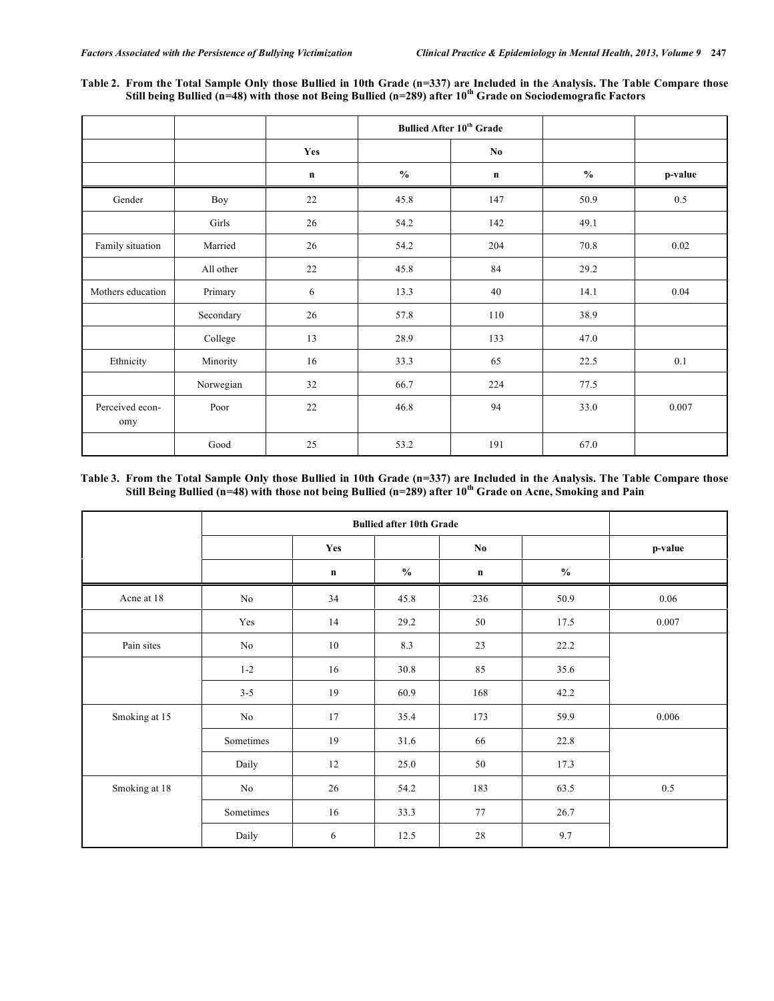| Table 2. From the Total Sample Only those Bullied in 10th Grade (n=337) are Included in the Analysis. The Table Compare those   |
|---------------------------------------------------------------------------------------------------------------------------------|
| Still being Bullied ( $n=48$ ) with those not Being Bullied ( $n=289$ ) after 10 <sup>th</sup> Grade on Sociodemografic Factors |

|                        |           |         | <b>Bullied After 10th Grade</b> |             |               |         |
|------------------------|-----------|---------|---------------------------------|-------------|---------------|---------|
|                        |           | Yes     |                                 | No.         |               |         |
|                        |           | $\bf n$ | $\frac{0}{0}$                   | $\mathbf n$ | $\frac{6}{6}$ | p-value |
| Gender                 | Boy       | 22      | 45.8                            | 147         | 50.9          | $0.5\,$ |
|                        | Girls     | 26      | 54.2                            | 142         | 49.1          |         |
| Family situation       | Married   | 26      | 54.2                            | 204         | 70.8          | 0.02    |
|                        | All other | 22      | 45.8                            | 84          | 29.2          |         |
| Mothers education      | Primary   | 6       | 13.3                            | 40          | 14.1          | 0.04    |
|                        | Secondary | 26      | 57.8                            | 110         | 38.9          |         |
|                        | College   | 13      | 28.9                            | 133         | 47.0          |         |
| Ethnicity              | Minority  | 16      | 33.3                            | 65          | 22.5          | 0.1     |
|                        | Norwegian | 32      | 66.7                            | 224         | 77.5          |         |
| Perceived econ-<br>omy | Poor      | 22      | 46.8                            | 94          | 33.0          | 0.007   |
|                        | Good      | 25      | 53.2                            | 191         | 67.0          |         |

## Table 3. From the Total Sample Only those Bullied in 10th Grade (n=337) are Included in the Analysis. The Table Compare those Still Being Bullied (n=48) with those not being Bullied (n=289) after 10<sup>th</sup> Grade on Acne, Smoking and Pain

|               |           | Yes         |                                    | No          |                                             | p-value |
|---------------|-----------|-------------|------------------------------------|-------------|---------------------------------------------|---------|
|               |           | $\mathbf n$ | $\mathbf{0}_{\mathbf{0}}^{\prime}$ | $\mathbf n$ | $\boldsymbol{\theta}\!/\!\boldsymbol{_{0}}$ |         |
| Acne at 18    | $\rm No$  | 34          | 45.8                               | 236         | 50.9                                        | 0.06    |
|               | Yes       | 14          | 29.2                               | 50          | 17.5                                        | 0.007   |
| Pain sites    | $\rm No$  | 10          | 8.3                                | 23          | 22.2                                        |         |
|               | $1 - 2$   | 16          | 30.8                               | 85          | 35.6                                        |         |
|               | $3 - 5$   | 19          | 60.9                               | 168         | 42.2                                        |         |
| Smoking at 15 | No        | 17          | 35.4                               | 173         | 59.9                                        | 0.006   |
|               | Sometimes | 19          | 31.6                               | 66          | 22.8                                        |         |
|               | Daily     | 12          | 25.0                               | 50          | 17.3                                        |         |
| Smoking at 18 | $\rm No$  | 26          | 54.2                               | 183         | 63.5                                        | 0.5     |
|               | Sometimes | 16          | 33.3                               | $77 \,$     | 26.7                                        |         |
|               | Daily     | 6           | 12.5                               | 28          | 9.7                                         |         |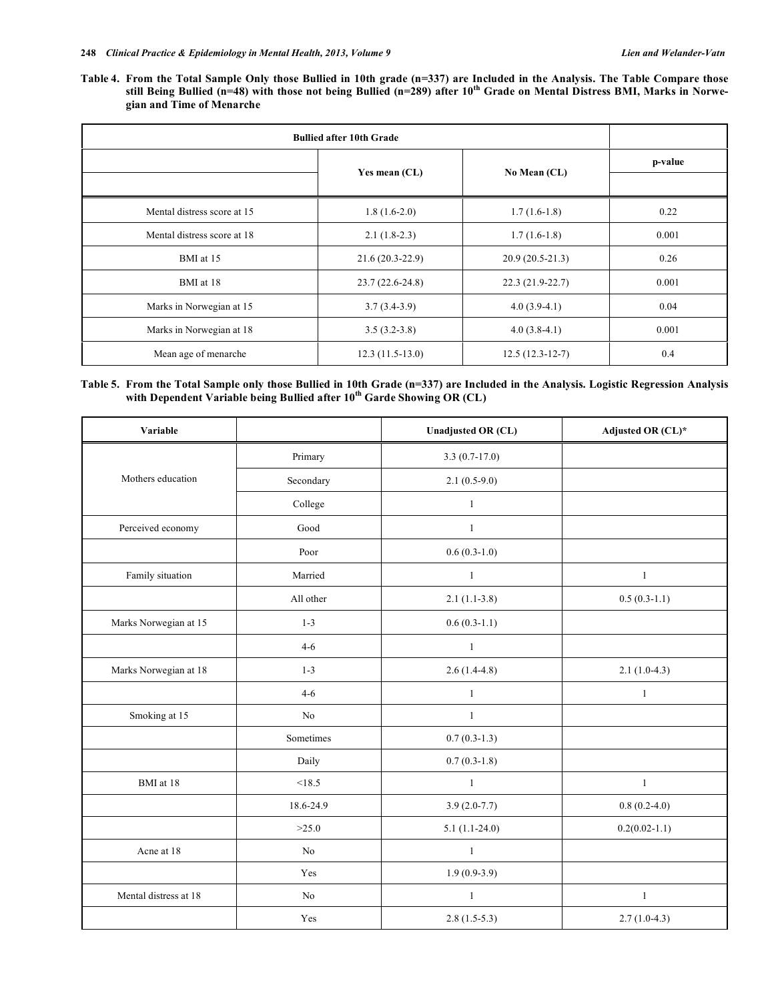Table 4. From the Total Sample Only those Bullied in 10th grade (n=337) are Included in the Analysis. The Table Compare those still Being Bullied (n=48) with those not being Bullied (n=289) after 10<sup>th</sup> Grade on Mental Distress BMI, Marks in Norwe**gian and Time of Menarche**

| <b>Bullied after 10th Grade</b> |                   |                   |       |
|---------------------------------|-------------------|-------------------|-------|
|                                 | Yes mean $(CL)$   | p-value           |       |
| Mental distress score at 15     | $1.8(1.6-2.0)$    | $1.7(1.6-1.8)$    | 0.22  |
| Mental distress score at 18     | $2.1(1.8-2.3)$    | $1.7(1.6-1.8)$    | 0.001 |
| BMI at 15                       | $21.6(20.3-22.9)$ | $20.9(20.5-21.3)$ | 0.26  |
| BMI at 18                       | $23.7(22.6-24.8)$ | $22.3(21.9-22.7)$ | 0.001 |
| Marks in Norwegian at 15        | $3.7(3.4-3.9)$    | $4.0(3.9-4.1)$    | 0.04  |
| Marks in Norwegian at 18        | $3.5(3.2-3.8)$    | $4.0(3.8-4.1)$    | 0.001 |
| Mean age of menarche            | $12.3(11.5-13.0)$ | $12.5(12.3-12-7)$ | 0.4   |

| Table 5. From the Total Sample only those Bullied in 10th Grade (n=337) are Included in the Analysis. Logistic Regression Analysis |  |  |  |
|------------------------------------------------------------------------------------------------------------------------------------|--|--|--|
| with Dependent Variable being Bullied after $10^{th}$ Garde Showing OR (CL)                                                        |  |  |  |

| Variable              |           | <b>Unadjusted OR (CL)</b> | Adjusted OR (CL)* |
|-----------------------|-----------|---------------------------|-------------------|
|                       | Primary   | $3.3(0.7-17.0)$           |                   |
| Mothers education     | Secondary | $2.1(0.5-9.0)$            |                   |
|                       | College   | $\mathbf{1}$              |                   |
| Perceived economy     | Good      | $\mathbf{1}$              |                   |
|                       | Poor      | $0.6(0.3-1.0)$            |                   |
| Family situation      | Married   | $\mathbf{1}$              | $\mathbf{1}$      |
|                       | All other | $2.1(1.1-3.8)$            | $0.5(0.3-1.1)$    |
| Marks Norwegian at 15 | $1 - 3$   | $0.6(0.3-1.1)$            |                   |
|                       | $4 - 6$   | $\mathbf{1}$              |                   |
| Marks Norwegian at 18 | $1 - 3$   | $2.6(1.4-4.8)$            | $2.1(1.0-4.3)$    |
|                       | $4 - 6$   | $\mathbf{1}$              | $\mathbf{1}$      |
| Smoking at 15         | $\rm No$  | $\mathbf{1}$              |                   |
|                       | Sometimes | $0.7(0.3-1.3)$            |                   |
|                       | Daily     | $0.7(0.3-1.8)$            |                   |
| BMI at 18             | < 18.5    | $\mathbf{1}$              | $\mathbf{1}$      |
|                       | 18.6-24.9 | $3.9(2.0-7.7)$            | $0.8(0.2-4.0)$    |
|                       | >25.0     | $5.1(1.1-24.0)$           | $0.2(0.02-1.1)$   |
| Acne at 18            | No        | $\mathbf{1}$              |                   |
|                       | Yes       | $1.9(0.9-3.9)$            |                   |
| Mental distress at 18 | No        | $\mathbf{1}$              | $\mathbf{1}$      |
|                       | Yes       | $2.8(1.5-5.3)$            | $2.7(1.0-4.3)$    |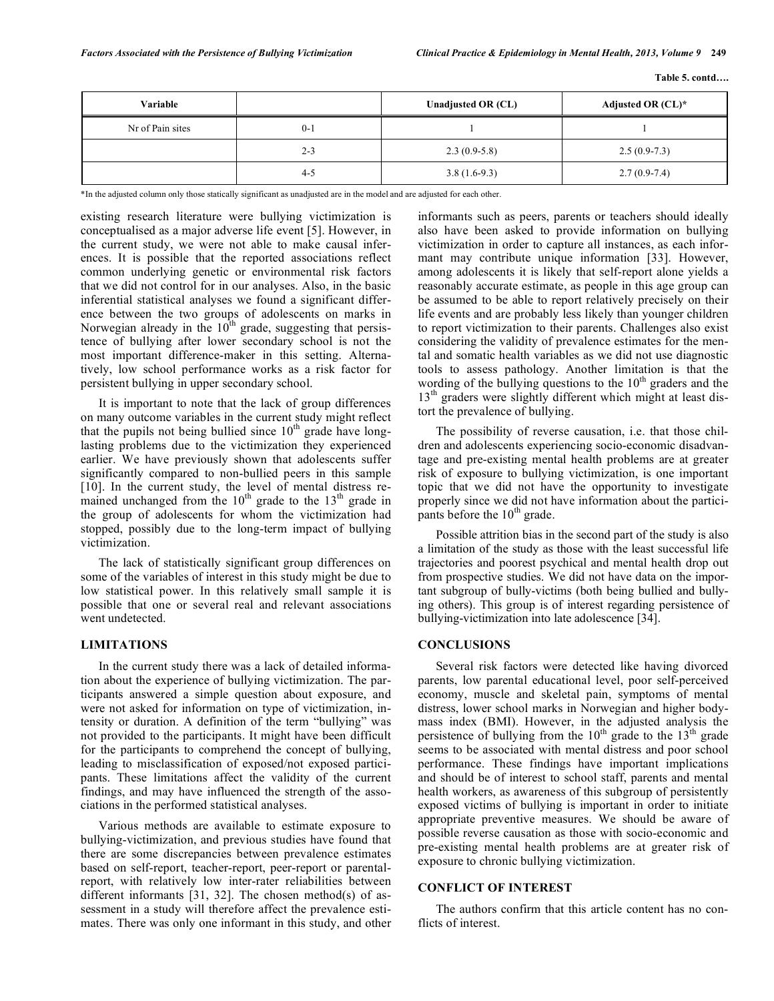| Variable         |         | Unadjusted OR (CL) | Adjusted OR $(CL)^*$ |
|------------------|---------|--------------------|----------------------|
| Nr of Pain sites | $0 - 1$ |                    |                      |
|                  | $2 - 3$ | $2.3(0.9-5.8)$     | $2.5(0.9-7.3)$       |
|                  | $4 - 5$ | $3.8(1.6-9.3)$     | $2.7(0.9-7.4)$       |

\*In the adjusted column only those statically significant as unadjusted are in the model and are adjusted for each other.

existing research literature were bullying victimization is conceptualised as a major adverse life event [5]. However, in the current study, we were not able to make causal inferences. It is possible that the reported associations reflect common underlying genetic or environmental risk factors that we did not control for in our analyses. Also, in the basic inferential statistical analyses we found a significant difference between the two groups of adolescents on marks in Norwegian already in the  $10^{th}$  grade, suggesting that persistence of bullying after lower secondary school is not the most important difference-maker in this setting. Alternatively, low school performance works as a risk factor for persistent bullying in upper secondary school.

It is important to note that the lack of group differences on many outcome variables in the current study might reflect that the pupils not being bullied since  $10<sup>th</sup>$  grade have longlasting problems due to the victimization they experienced earlier. We have previously shown that adolescents suffer significantly compared to non-bullied peers in this sample [10]. In the current study, the level of mental distress remained unchanged from the  $10<sup>th</sup>$  grade to the  $13<sup>th</sup>$  grade in the group of adolescents for whom the victimization had stopped, possibly due to the long-term impact of bullying victimization.

The lack of statistically significant group differences on some of the variables of interest in this study might be due to low statistical power. In this relatively small sample it is possible that one or several real and relevant associations went undetected.

## **LIMITATIONS**

In the current study there was a lack of detailed information about the experience of bullying victimization. The participants answered a simple question about exposure, and were not asked for information on type of victimization, intensity or duration. A definition of the term "bullying" was not provided to the participants. It might have been difficult for the participants to comprehend the concept of bullying, leading to misclassification of exposed/not exposed participants. These limitations affect the validity of the current findings, and may have influenced the strength of the associations in the performed statistical analyses.

Various methods are available to estimate exposure to bullying-victimization, and previous studies have found that there are some discrepancies between prevalence estimates based on self-report, teacher-report, peer-report or parentalreport, with relatively low inter-rater reliabilities between different informants [31, 32]. The chosen method(s) of assessment in a study will therefore affect the prevalence estimates. There was only one informant in this study, and other informants such as peers, parents or teachers should ideally also have been asked to provide information on bullying victimization in order to capture all instances, as each informant may contribute unique information [33]. However, among adolescents it is likely that self-report alone yields a reasonably accurate estimate, as people in this age group can be assumed to be able to report relatively precisely on their life events and are probably less likely than younger children to report victimization to their parents. Challenges also exist considering the validity of prevalence estimates for the mental and somatic health variables as we did not use diagnostic tools to assess pathology. Another limitation is that the wording of the bullying questions to the  $10<sup>th</sup>$  graders and the  $13<sup>th</sup>$  graders were slightly different which might at least distort the prevalence of bullying.

The possibility of reverse causation, i.e. that those children and adolescents experiencing socio-economic disadvantage and pre-existing mental health problems are at greater risk of exposure to bullying victimization, is one important topic that we did not have the opportunity to investigate properly since we did not have information about the participants before the  $10<sup>th</sup>$  grade.

Possible attrition bias in the second part of the study is also a limitation of the study as those with the least successful life trajectories and poorest psychical and mental health drop out from prospective studies. We did not have data on the important subgroup of bully-victims (both being bullied and bullying others). This group is of interest regarding persistence of bullying-victimization into late adolescence [34].

## **CONCLUSIONS**

Several risk factors were detected like having divorced parents, low parental educational level, poor self-perceived economy, muscle and skeletal pain, symptoms of mental distress, lower school marks in Norwegian and higher bodymass index (BMI). However, in the adjusted analysis the persistence of bullying from the  $10<sup>th</sup>$  grade to the  $13<sup>th</sup>$  grade seems to be associated with mental distress and poor school performance. These findings have important implications and should be of interest to school staff, parents and mental health workers, as awareness of this subgroup of persistently exposed victims of bullying is important in order to initiate appropriate preventive measures. We should be aware of possible reverse causation as those with socio-economic and pre-existing mental health problems are at greater risk of exposure to chronic bullying victimization.

## **CONFLICT OF INTEREST**

The authors confirm that this article content has no conflicts of interest.